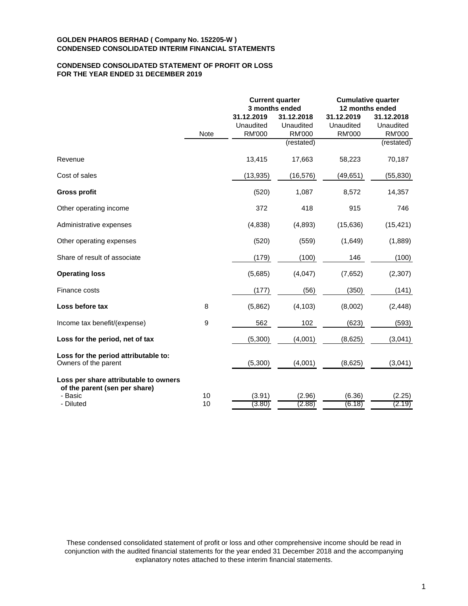# **CONDENSED CONSOLIDATED STATEMENT OF PROFIT OR LOSS FOR THE YEAR ENDED 31 DECEMBER 2019**

|                                                                        |                  |               | <b>Current quarter</b><br>3 months ended | <b>Cumulative quarter</b><br>12 months ended |               |  |
|------------------------------------------------------------------------|------------------|---------------|------------------------------------------|----------------------------------------------|---------------|--|
|                                                                        |                  | 31.12.2019    | 31.12.2018                               | 31.12.2019                                   | 31.12.2018    |  |
|                                                                        |                  | Unaudited     | Unaudited                                | Unaudited                                    | Unaudited     |  |
|                                                                        | <b>Note</b>      | <b>RM'000</b> | <b>RM'000</b>                            | <b>RM'000</b>                                | <b>RM'000</b> |  |
|                                                                        |                  |               | (restated)                               |                                              | (restated)    |  |
| Revenue                                                                |                  | 13,415        | 17,663                                   | 58,223                                       | 70,187        |  |
| Cost of sales                                                          |                  | (13, 935)     | (16, 576)                                | (49, 651)                                    | (55, 830)     |  |
| <b>Gross profit</b>                                                    |                  | (520)         | 1,087                                    | 8,572                                        | 14,357        |  |
| Other operating income                                                 |                  | 372           | 418                                      | 915                                          | 746           |  |
| Administrative expenses                                                |                  | (4,838)       | (4,893)                                  | (15, 636)                                    | (15, 421)     |  |
| Other operating expenses                                               |                  | (520)         | (559)                                    | (1,649)                                      | (1,889)       |  |
| Share of result of associate                                           |                  | (179)         | (100)                                    | 146                                          | (100)         |  |
| <b>Operating loss</b>                                                  |                  | (5,685)       | (4,047)                                  | (7,652)                                      | (2, 307)      |  |
| Finance costs                                                          |                  | (177)         | (56)                                     | (350)                                        | (141)         |  |
| Loss before tax                                                        | 8                | (5,862)       | (4, 103)                                 | (8,002)                                      | (2, 448)      |  |
| Income tax benefit/(expense)                                           | $\boldsymbol{9}$ | 562           | 102                                      | (623)                                        | (593)         |  |
| Loss for the period, net of tax                                        |                  | (5,300)       | (4,001)                                  | (8,625)                                      | (3,041)       |  |
| Loss for the period attributable to:<br>Owners of the parent           |                  | (5,300)       | (4,001)                                  | (8,625)                                      | (3,041)       |  |
| Loss per share attributable to owners<br>of the parent (sen per share) |                  |               |                                          |                                              |               |  |
| - Basic                                                                | 10               | (3.91)        | (2.96)                                   | (6.36)                                       | (2.25)        |  |
| - Diluted                                                              | 10               | (3.80)        | (2.88)                                   | (6.18)                                       | (2.19)        |  |

These condensed consolidated statement of profit or loss and other comprehensive income should be read in conjunction with the audited financial statements for the year ended 31 December 2018 and the accompanying explanatory notes attached to these interim financial statements.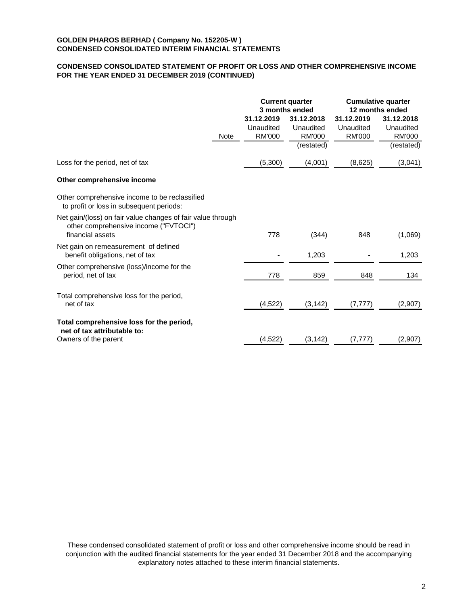# **CONDENSED CONSOLIDATED STATEMENT OF PROFIT OR LOSS AND OTHER COMPREHENSIVE INCOME FOR THE YEAR ENDED 31 DECEMBER 2019 (CONTINUED)**

|                                                                                                                          |      | 3 months ended                           | <b>Current quarter</b>                                 | <b>Cumulative quarter</b><br>12 months ended |                                                        |  |
|--------------------------------------------------------------------------------------------------------------------------|------|------------------------------------------|--------------------------------------------------------|----------------------------------------------|--------------------------------------------------------|--|
|                                                                                                                          | Note | 31.12.2019<br>Unaudited<br><b>RM'000</b> | 31.12.2018<br>Unaudited<br><b>RM'000</b><br>(restated) | 31.12.2019<br>Unaudited<br><b>RM'000</b>     | 31.12.2018<br>Unaudited<br><b>RM'000</b><br>(restated) |  |
| Loss for the period, net of tax                                                                                          |      | (5,300)                                  | (4,001)                                                | (8,625)                                      | (3,041)                                                |  |
| Other comprehensive income                                                                                               |      |                                          |                                                        |                                              |                                                        |  |
| Other comprehensive income to be reclassified<br>to profit or loss in subsequent periods:                                |      |                                          |                                                        |                                              |                                                        |  |
| Net gain/(loss) on fair value changes of fair value through<br>other comprehensive income ("FVTOCI")<br>financial assets |      | 778                                      | (344)                                                  | 848                                          | (1,069)                                                |  |
| Net gain on remeasurement of defined<br>benefit obligations, net of tax                                                  |      |                                          | 1,203                                                  |                                              | 1,203                                                  |  |
| Other comprehensive (loss)/income for the<br>period, net of tax                                                          |      | 778                                      | 859                                                    | 848                                          | 134                                                    |  |
| Total comprehensive loss for the period,<br>net of tax                                                                   |      | (4,522)                                  | (3, 142)                                               | (7, 777)                                     | (2,907)                                                |  |
| Total comprehensive loss for the period,<br>net of tax attributable to:                                                  |      |                                          |                                                        |                                              |                                                        |  |
| Owners of the parent                                                                                                     |      | (4, 522)                                 | (3, 142)                                               | (7, 777)                                     | (2,907)                                                |  |

These condensed consolidated statement of profit or loss and other comprehensive income should be read in conjunction with the audited financial statements for the year ended 31 December 2018 and the accompanying explanatory notes attached to these interim financial statements.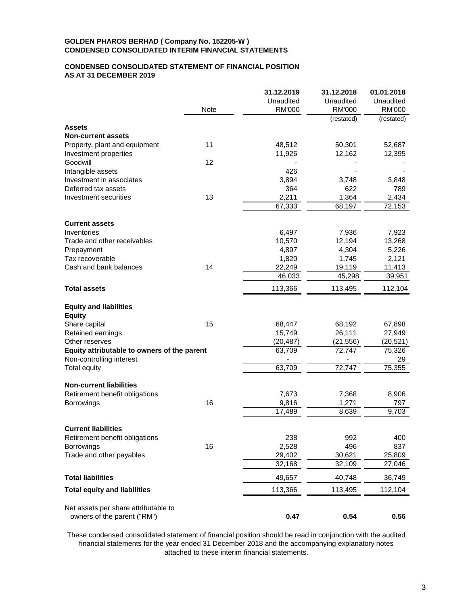# **CONDENSED CONSOLIDATED STATEMENT OF FINANCIAL POSITION AS AT 31 DECEMBER 2019**

|                                             |      | 31.12.2019    | 31.12.2018                  | 01.01.2018                  |
|---------------------------------------------|------|---------------|-----------------------------|-----------------------------|
|                                             |      | Unaudited     | Unaudited                   | Unaudited                   |
|                                             | Note | <b>RM'000</b> | <b>RM'000</b><br>(restated) | <b>RM'000</b><br>(restated) |
| <b>Assets</b>                               |      |               |                             |                             |
| <b>Non-current assets</b>                   |      |               |                             |                             |
| Property, plant and equipment               | 11   | 48,512        | 50,301                      | 52,687                      |
| Investment properties                       |      | 11,926        | 12,162                      | 12,395                      |
| Goodwill                                    | 12   |               |                             |                             |
| Intangible assets                           |      | 426           |                             |                             |
| Investment in associates                    |      | 3,894         | 3,748                       | 3,848                       |
| Deferred tax assets                         |      | 364           | 622                         | 789                         |
| Investment securities                       | 13   | 2,211         | 1,364                       | 2,434                       |
|                                             |      | 67,333        | 68,197                      | 72,153                      |
| <b>Current assets</b>                       |      |               |                             |                             |
| Inventories                                 |      | 6,497         | 7,936                       | 7,923                       |
| Trade and other receivables                 |      | 10,570        | 12,194                      | 13,268                      |
| Prepayment                                  |      | 4,897         | 4,304                       | 5,226                       |
| Tax recoverable                             |      | 1,820         | 1,745                       | 2,121                       |
| Cash and bank balances                      | 14   | 22,249        | 19,119                      | 11,413                      |
|                                             |      | 46,033        | 45,298                      | 39,951                      |
| <b>Total assets</b>                         |      | 113,366       | 113,495                     | 112,104                     |
| <b>Equity and liabilities</b>               |      |               |                             |                             |
| <b>Equity</b>                               |      |               |                             |                             |
| Share capital                               | 15   | 68,447        | 68,192                      | 67,898                      |
| Retained earnings                           |      | 15,749        | 26,111                      | 27,949                      |
| Other reserves                              |      | (20, 487)     | (21, 556)                   | (20, 521)                   |
| Equity attributable to owners of the parent |      | 63,709        | 72,747                      | 75,326                      |
| Non-controlling interest                    |      |               |                             | 29                          |
| <b>Total equity</b>                         |      | 63,709        | 72,747                      | 75,355                      |
| <b>Non-current liabilities</b>              |      |               |                             |                             |
| Retirement benefit obligations              |      | 7,673         | 7,368                       | 8,906                       |
| <b>Borrowings</b>                           | 16   | 9,816         | 1,271                       | 797                         |
|                                             |      | 17,489        | 8,639                       | 9,703                       |
| <b>Current liabilities</b>                  |      |               |                             |                             |
| Retirement benefit obligations              |      | 238           | 992                         | 400                         |
| Borrowings                                  | 16   | 2,528         | 496                         | 837                         |
| Trade and other payables                    |      | 29,402        | 30,621                      | 25,809                      |
|                                             |      | 32,168        | 32,109                      | 27,046                      |
| <b>Total liabilities</b>                    |      | 49,657        | 40,748                      | 36,749                      |
| <b>Total equity and liabilities</b>         |      | 113,366       | 113,495                     | 112,104                     |
|                                             |      |               |                             |                             |
| Net assets per share attributable to        |      |               |                             |                             |
| owners of the parent ("RM")                 |      | 0.47          | 0.54                        | 0.56                        |

These condensed consolidated statement of financial position should be read in conjunction with the audited financial statements for the year ended 31 December 2018 and the accompanying explanatory notes attached to these interim financial statements.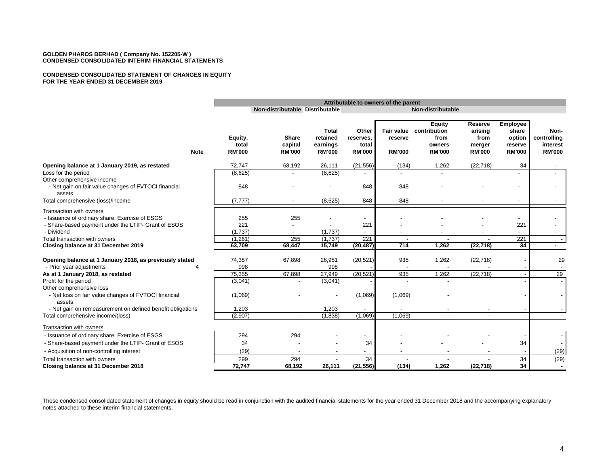#### **CONDENSED CONSOLIDATED STATEMENT OF CHANGES IN EQUITY FOR THE YEAR ENDED 31 DECEMBER 2019**

|                                                                                                                                  | Attributable to owners of the parent |                                          |                                                       |                                              |                                               |                                                                  |                                                       |                                                                |                                                  |
|----------------------------------------------------------------------------------------------------------------------------------|--------------------------------------|------------------------------------------|-------------------------------------------------------|----------------------------------------------|-----------------------------------------------|------------------------------------------------------------------|-------------------------------------------------------|----------------------------------------------------------------|--------------------------------------------------|
|                                                                                                                                  |                                      | Non-distributable Distributable          |                                                       |                                              |                                               | Non-distributable                                                |                                                       |                                                                |                                                  |
| <b>Note</b>                                                                                                                      | Equity,<br>total<br><b>RM'000</b>    | <b>Share</b><br>capital<br><b>RM'000</b> | <b>Total</b><br>retained<br>earnings<br><b>RM'000</b> | Other<br>reserves.<br>total<br><b>RM'000</b> | <b>Fair value</b><br>reserve<br><b>RM'000</b> | <b>Equity</b><br>contribution<br>from<br>owners<br><b>RM'000</b> | Reserve<br>arising<br>from<br>merger<br><b>RM'000</b> | <b>Employee</b><br>share<br>option<br>reserve<br><b>RM'000</b> | Non-<br>controlling<br>interest<br><b>RM'000</b> |
| Opening balance at 1 January 2019, as restated                                                                                   | 72,747                               | 68,192                                   | 26,111                                                | (21, 556)                                    | (134)                                         | 1,262                                                            | (22, 718)                                             | 34                                                             |                                                  |
| Loss for the period<br>Other comprehensive income                                                                                | (8,625)                              |                                          | (8,625)                                               |                                              | $\overline{a}$                                |                                                                  |                                                       |                                                                |                                                  |
| - Net gain on fair value changes of FVTOCI financial<br>assets                                                                   | 848                                  |                                          |                                                       | 848                                          | 848                                           |                                                                  |                                                       |                                                                |                                                  |
| Total comprehensive (loss)/income                                                                                                | (7, 777)                             | $\blacksquare$                           | (8,625)                                               | 848                                          | 848                                           | $\overline{\phantom{a}}$                                         |                                                       | $\overline{a}$                                                 | $\sim$                                           |
| Transaction with owners<br>- Issuance of ordinary share: Exercise of ESGS<br>- Share-based payment under the LTIP- Grant of ESOS | 255<br>221                           | 255                                      |                                                       | $\overline{\phantom{a}}$<br>221              |                                               |                                                                  |                                                       | 221                                                            |                                                  |
| - Dividend                                                                                                                       | (1,737)                              |                                          | (1,737)                                               |                                              |                                               |                                                                  |                                                       |                                                                |                                                  |
| Total transaction with owners                                                                                                    | (1,261)                              | 255                                      | (1,737)                                               | 221                                          |                                               | $\overline{\phantom{a}}$                                         | $\overline{\phantom{a}}$                              | 221                                                            |                                                  |
| Closing balance at 31 December 2019                                                                                              | 63,709                               | 68,447                                   | 15,749                                                | (20, 487)                                    | 714                                           | 1,262                                                            | (22, 718)                                             | 34                                                             |                                                  |
| Opening balance at 1 January 2018, as previously stated<br>- Prior year adjustments                                              | 74,357<br>998                        | 67,898                                   | 26,951<br>998                                         | (20, 521)                                    | 935                                           | 1,262                                                            | (22, 718)                                             |                                                                | 29                                               |
| As at 1 January 2018, as restated                                                                                                | 75,355                               | 67,898                                   | 27,949                                                | (20, 521)                                    | 935                                           | 1,262                                                            | (22, 718)                                             |                                                                | 29                                               |
| Profit for the period<br>Other comprehensive loss                                                                                | (3,041)                              |                                          | (3,041)                                               |                                              |                                               |                                                                  |                                                       |                                                                |                                                  |
| - Net loss on fair value changes of FVTOCI financial<br>assets                                                                   | (1,069)                              |                                          |                                                       | (1,069)                                      | (1,069)                                       |                                                                  |                                                       |                                                                |                                                  |
| - Net gain on remeasurement on defined benefit obligations                                                                       | 1,203                                |                                          | 1,203                                                 |                                              |                                               |                                                                  |                                                       |                                                                |                                                  |
| Total comprehensive income/(loss)                                                                                                | (2,907)                              | $\blacksquare$                           | (1,838)                                               | (1,069)                                      | (1,069)                                       | $\sim$                                                           | $\overline{a}$                                        |                                                                |                                                  |
| Transaction with owners                                                                                                          |                                      |                                          |                                                       |                                              |                                               |                                                                  |                                                       |                                                                |                                                  |
| - Issuance of ordinary share: Exercise of ESGS                                                                                   | 294                                  | 294                                      |                                                       |                                              |                                               |                                                                  |                                                       |                                                                |                                                  |
| - Share-based payment under the LTIP- Grant of ESOS                                                                              | 34                                   |                                          |                                                       | 34                                           |                                               |                                                                  |                                                       | 34                                                             |                                                  |
| - Acquisition of non-controlling interest                                                                                        | (29)                                 | $\overline{\phantom{a}}$                 |                                                       | $\overline{\phantom{a}}$                     | $\overline{\phantom{a}}$                      |                                                                  |                                                       |                                                                | (29)                                             |
| Total transaction with owners                                                                                                    | 299                                  | 294                                      |                                                       | 34                                           |                                               |                                                                  |                                                       | 34                                                             | (29)                                             |
| Closing balance at 31 December 2018                                                                                              | 72,747                               | 68,192                                   | 26,111                                                | (21, 556)                                    | (134)                                         | 1.262                                                            | (22, 718)                                             | $\overline{34}$                                                | $\sim$                                           |

These condensed consolidated statement of changes in equity should be read in conjunction with the audited financial statements for the year ended 31 December 2018 and the accompanying explanatory notes attached to these interim financial statements.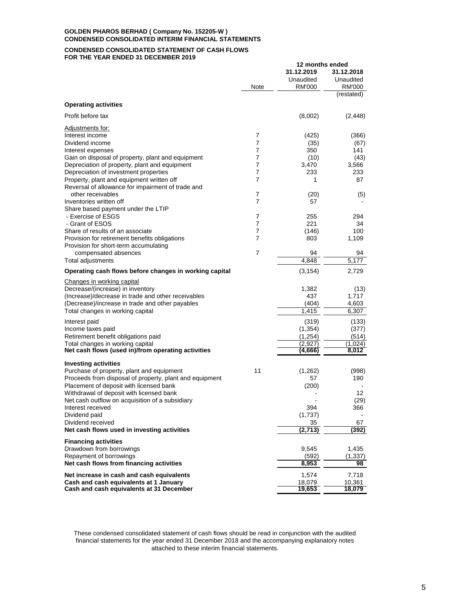**CONDENSED CONSOLIDATED STATEMENT OF CASH FLOWS FOR THE YEAR ENDED 31 DECEMBER 2019**

|                                                                                                    | Note   | 31.12.2019<br>Unaudited<br>RM'000 | 31.12.2018<br>Unaudited<br><b>RM'000</b> |
|----------------------------------------------------------------------------------------------------|--------|-----------------------------------|------------------------------------------|
| <b>Operating activities</b>                                                                        |        |                                   | (restated)                               |
| Profit before tax                                                                                  |        | (8,002)                           | (2, 448)                                 |
| Adjustments for:                                                                                   |        |                                   |                                          |
| Interest income                                                                                    | 7      | (425)                             | (366)                                    |
| Dividend income                                                                                    | 7      | (35)                              | (67)                                     |
| Interest expenses                                                                                  | 7      | 350                               | 141                                      |
| Gain on disposal of property, plant and equipment<br>Depreciation of property, plant and equipment | 7<br>7 | (10)<br>3,470                     | (43)<br>3,566                            |
| Depreciation of investment properties                                                              | 7      | 233                               | 233                                      |
| Property, plant and equipment written off                                                          | 7      | 1                                 | 87                                       |
| Reversal of allowance for impairment of trade and                                                  |        |                                   |                                          |
| other receivables                                                                                  | 7      | (20)                              | (5)                                      |
| Inventories written off                                                                            | 7      | 57                                |                                          |
| Share based payment under the LTIP                                                                 |        |                                   |                                          |
| - Exercise of ESGS                                                                                 | 7      | 255                               | 294                                      |
| - Grant of ESOS                                                                                    | 7      | 221                               | 34                                       |
| Share of results of an associate                                                                   | 7      | (146)                             | 100                                      |
| Provision for retirement benefits obligations                                                      | 7      | 803                               | 1,109                                    |
| Provision for short-term accumulating<br>compensated absences                                      | 7      | 94                                | 94                                       |
| Total adjustments                                                                                  |        | 4,848                             | 5,177                                    |
| Operating cash flows before changes in working capital                                             |        | (3, 154)                          | 2,729                                    |
| Changes in working capital                                                                         |        |                                   |                                          |
| Decrease/(increase) in inventory                                                                   |        | 1,382                             | (13)                                     |
| (Increase)/decrease in trade and other receivables                                                 |        | 437                               | 1,717                                    |
| (Decrease)/increase in trade and other payables                                                    |        | (404)                             | 4,603                                    |
| Total changes in working capital                                                                   |        | 1,415                             | 6,307                                    |
| Interest paid                                                                                      |        | (319)                             | (133)                                    |
| Income taxes paid                                                                                  |        | (1, 354)                          | (377)                                    |
| Retirement benefit obligations paid                                                                |        | (1,254)                           | (514)                                    |
| Total changes in working capital                                                                   |        | (2,927)                           | (1,024)                                  |
| Net cash flows (used in)/from operating activities                                                 |        | (4,666)                           | 8,012                                    |
| <b>Investing activities</b>                                                                        |        |                                   |                                          |
| Purchase of property, plant and equipment                                                          | 11     | (1,262)                           | (998)                                    |
| Proceeds from disposal of property, plant and equipment                                            |        | 57                                | 190                                      |
| Placement of deposit with licensed bank                                                            |        | (200)                             |                                          |
| Withdrawal of deposit with licensed bank                                                           |        |                                   | 12                                       |
| Net cash outflow on acquisition of a subsidiary                                                    |        |                                   | (29)                                     |
| Interest received                                                                                  |        | 394                               | 366                                      |
| Dividend paid                                                                                      |        | (1,737)                           | $\blacksquare$                           |
| Dividend received                                                                                  |        | 35                                | 67                                       |
| Net cash flows used in investing activities                                                        |        | (2,713)                           | (392)                                    |
| <b>Financing activities</b>                                                                        |        |                                   |                                          |
| Drawdown from borrowings                                                                           |        | 9,545                             | 1,435                                    |
| Repayment of borrowings                                                                            |        | (592)                             | (1, 337)                                 |
| Net cash flows from financing activities                                                           |        | 8,953                             | 98                                       |
| Net increase in cash and cash equivalents                                                          |        | 1,574                             | 7,718                                    |
| Cash and cash equivalents at 1 January                                                             |        | 18,079                            | 10,361                                   |
| Cash and cash equivalents at 31 December                                                           |        | 19,653                            | 18,079                                   |

**12 months ended**

These condensed consolidated statement of cash flows should be read in conjunction with the audited financial statements for the year ended 31 December 2018 and the accompanying explanatory notes attached to these interim financial statements.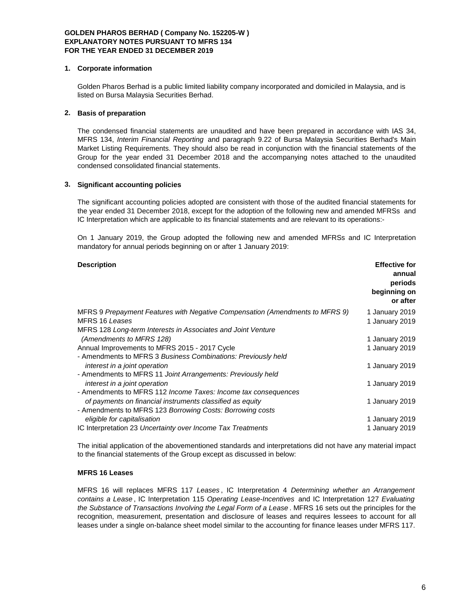#### **1. Corporate information**

Golden Pharos Berhad is a public limited liability company incorporated and domiciled in Malaysia, and is listed on Bursa Malaysia Securities Berhad.

# **2. Basis of preparation**

The condensed financial statements are unaudited and have been prepared in accordance with IAS 34, MFRS 134, *Interim Financial Reporting* and paragraph 9.22 of Bursa Malaysia Securities Berhad's Main Market Listing Requirements. They should also be read in conjunction with the financial statements of the Group for the year ended 31 December 2018 and the accompanying notes attached to the unaudited condensed consolidated financial statements.

### **3. Significant accounting policies**

The significant accounting policies adopted are consistent with those of the audited financial statements for the year ended 31 December 2018, except for the adoption of the following new and amended MFRSs and IC Interpretation which are applicable to its financial statements and are relevant to its operations:-

On 1 January 2019, the Group adopted the following new and amended MFRSs and IC Interpretation mandatory for annual periods beginning on or after 1 January 2019:

| <b>Description</b>                                                           | <b>Effective for</b><br>annual<br>periods<br>beginning on<br>or after |
|------------------------------------------------------------------------------|-----------------------------------------------------------------------|
| MFRS 9 Prepayment Features with Negative Compensation (Amendments to MFRS 9) | 1 January 2019                                                        |
| MFRS 16 Leases                                                               | 1 January 2019                                                        |
| MFRS 128 Long-term Interests in Associates and Joint Venture                 |                                                                       |
| (Amendments to MFRS 128)                                                     | 1 January 2019                                                        |
| Annual Improvements to MFRS 2015 - 2017 Cycle                                | 1 January 2019                                                        |
| - Amendments to MFRS 3 Business Combinations: Previously held                |                                                                       |
| interest in a joint operation                                                | 1 January 2019                                                        |
| - Amendments to MFRS 11 Joint Arrangements: Previously held                  |                                                                       |
| interest in a joint operation                                                | 1 January 2019                                                        |
| - Amendments to MFRS 112 Income Taxes: Income tax consequences               |                                                                       |
| of payments on financial instruments classified as equity                    | 1 January 2019                                                        |
| - Amendments to MFRS 123 Borrowing Costs: Borrowing costs                    |                                                                       |
| eligible for capitalisation                                                  | 1 January 2019                                                        |
| IC Interpretation 23 Uncertainty over Income Tax Treatments                  | 1 January 2019                                                        |

The initial application of the abovementioned standards and interpretations did not have any material impact to the financial statements of the Group except as discussed in below:

# **MFRS 16 Leases**

MFRS 16 will replaces MFRS 117 *Leases* , IC Interpretation 4 *Determining whether an Arrangement contains a Lease* , IC Interpretation 115 *Operating Lease-Incentives* and IC Interpretation 127 *Evaluating the Substance of Transactions Involving the Legal Form of a Lease* . MFRS 16 sets out the principles for the recognition, measurement, presentation and disclosure of leases and requires lessees to account for all leases under a single on-balance sheet model similar to the accounting for finance leases under MFRS 117.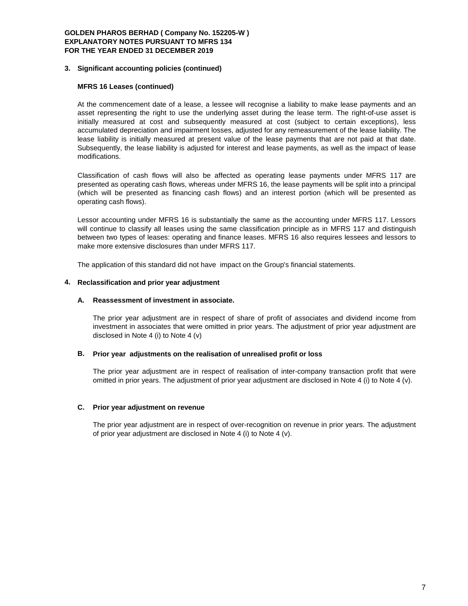#### **3. Significant accounting policies (continued)**

# **MFRS 16 Leases (continued)**

At the commencement date of a lease, a lessee will recognise a liability to make lease payments and an asset representing the right to use the underlying asset during the lease term. The right-of-use asset is initially measured at cost and subsequently measured at cost (subject to certain exceptions), less accumulated depreciation and impairment losses, adjusted for any remeasurement of the lease liability. The lease liability is initially measured at present value of the lease payments that are not paid at that date. Subsequently, the lease liability is adjusted for interest and lease payments, as well as the impact of lease modifications.

Classification of cash flows will also be affected as operating lease payments under MFRS 117 are presented as operating cash flows, whereas under MFRS 16, the lease payments will be split into a principal (which will be presented as financing cash flows) and an interest portion (which will be presented as operating cash flows).

Lessor accounting under MFRS 16 is substantially the same as the accounting under MFRS 117. Lessors will continue to classify all leases using the same classification principle as in MFRS 117 and distinguish between two types of leases: operating and finance leases. MFRS 16 also requires lessees and lessors to make more extensive disclosures than under MFRS 117.

The application of this standard did not have impact on the Group's financial statements.

### **4. Reclassification and prior year adjustment**

#### **A. Reassessment of investment in associate.**

The prior year adjustment are in respect of share of profit of associates and dividend income from investment in associates that were omitted in prior years. The adjustment of prior year adjustment are disclosed in Note 4 (i) to Note 4 (v)

#### **B. Prior year adjustments on the realisation of unrealised profit or loss**

The prior year adjustment are in respect of realisation of inter-company transaction profit that were omitted in prior years. The adjustment of prior year adjustment are disclosed in Note 4 (i) to Note 4 (v).

#### **C. Prior year adjustment on revenue**

The prior year adjustment are in respect of over-recognition on revenue in prior years. The adjustment of prior year adjustment are disclosed in Note 4 (i) to Note 4 (v).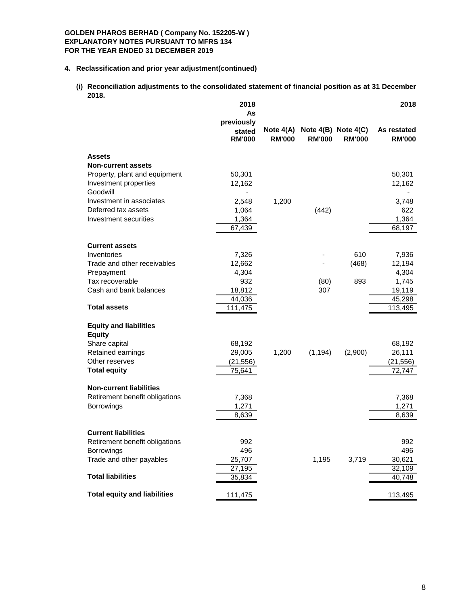# **4. Reclassification and prior year adjustment(continued)**

**(i) Reconciliation adjustments to the consolidated statement of financial position as at 31 December 2018.**

|                                            | 2018<br>As<br>previously |                              |               |                                          | 2018                         |
|--------------------------------------------|--------------------------|------------------------------|---------------|------------------------------------------|------------------------------|
|                                            | stated<br><b>RM'000</b>  | Note $4(A)$<br><b>RM'000</b> | <b>RM'000</b> | Note $4(B)$ Note $4(C)$<br><b>RM'000</b> | As restated<br><b>RM'000</b> |
| <b>Assets</b><br><b>Non-current assets</b> |                          |                              |               |                                          |                              |
| Property, plant and equipment              | 50,301                   |                              |               |                                          | 50,301                       |
| Investment properties                      | 12,162                   |                              |               |                                          | 12,162                       |
| Goodwill                                   |                          |                              |               |                                          |                              |
| Investment in associates                   | 2,548                    | 1,200                        |               |                                          | 3,748                        |
| Deferred tax assets                        | 1,064                    |                              | (442)         |                                          | 622                          |
| Investment securities                      | 1,364                    |                              |               |                                          | 1,364                        |
|                                            | 67,439                   |                              |               |                                          | 68,197                       |
| <b>Current assets</b>                      |                          |                              |               |                                          |                              |
| Inventories                                | 7,326                    |                              |               | 610                                      | 7,936                        |
| Trade and other receivables                | 12,662                   |                              |               | (468)                                    | 12,194                       |
| Prepayment                                 | 4,304                    |                              |               |                                          | 4,304                        |
| Tax recoverable                            | 932                      |                              | (80)          | 893                                      | 1,745                        |
| Cash and bank balances                     | 18,812                   |                              | 307           |                                          | 19,119                       |
|                                            | 44,036                   |                              |               |                                          | 45,298                       |
| <b>Total assets</b>                        | 111,475                  |                              |               |                                          | 113,495                      |
| <b>Equity and liabilities</b>              |                          |                              |               |                                          |                              |
| <b>Equity</b>                              |                          |                              |               |                                          |                              |
| Share capital                              | 68,192                   |                              |               |                                          | 68,192                       |
| Retained earnings                          | 29,005                   | 1,200                        | (1, 194)      | (2,900)                                  | 26,111                       |
| Other reserves                             | (21, 556)                |                              |               |                                          | (21, 556)                    |
| <b>Total equity</b>                        | 75,641                   |                              |               |                                          | 72,747                       |
| <b>Non-current liabilities</b>             |                          |                              |               |                                          |                              |
| Retirement benefit obligations             | 7,368                    |                              |               |                                          | 7,368                        |
| Borrowings                                 | 1,271                    |                              |               |                                          | 1,271                        |
|                                            | 8,639                    |                              |               |                                          | 8,639                        |
| <b>Current liabilities</b>                 |                          |                              |               |                                          |                              |
| Retirement benefit obligations             | 992                      |                              |               |                                          | 992                          |
| Borrowings                                 | 496                      |                              |               |                                          | 496                          |
| Trade and other payables                   | 25,707                   |                              | 1,195         | 3,719                                    | 30,621                       |
|                                            | 27,195                   |                              |               |                                          | 32,109                       |
| <b>Total liabilities</b>                   | 35,834                   |                              |               |                                          | 40,748                       |
| <b>Total equity and liabilities</b>        | 111,475                  |                              |               |                                          | 113,495                      |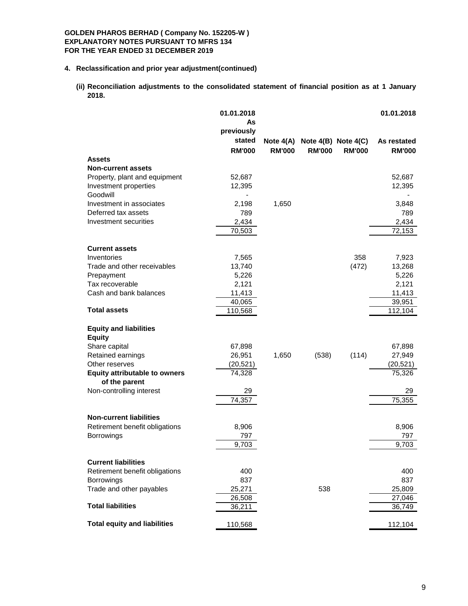# **4. Reclassification and prior year adjustment(continued)**

**(ii) Reconciliation adjustments to the consolidated statement of financial position as at 1 January 2018.**

|                                                       | 01.01.2018<br>As<br>previously |               |                                     |               | 01.01.2018    |
|-------------------------------------------------------|--------------------------------|---------------|-------------------------------------|---------------|---------------|
|                                                       | stated                         |               | Note $4(A)$ Note $4(B)$ Note $4(C)$ |               | As restated   |
| <b>Assets</b>                                         | <b>RM'000</b>                  | <b>RM'000</b> | <b>RM'000</b>                       | <b>RM'000</b> | <b>RM'000</b> |
| <b>Non-current assets</b>                             |                                |               |                                     |               |               |
| Property, plant and equipment                         | 52,687                         |               |                                     |               | 52,687        |
| Investment properties                                 | 12,395                         |               |                                     |               | 12,395        |
| Goodwill                                              |                                |               |                                     |               |               |
| Investment in associates                              | 2,198                          | 1,650         |                                     |               | 3,848         |
| Deferred tax assets                                   | 789                            |               |                                     |               | 789           |
| Investment securities                                 | 2,434                          |               |                                     |               | 2,434         |
|                                                       | 70,503                         |               |                                     |               | 72,153        |
| <b>Current assets</b>                                 |                                |               |                                     |               |               |
| Inventories                                           | 7,565                          |               |                                     | 358           | 7,923         |
| Trade and other receivables                           | 13,740                         |               |                                     | (472)         | 13,268        |
| Prepayment                                            | 5,226                          |               |                                     |               | 5,226         |
| Tax recoverable                                       | 2,121                          |               |                                     |               | 2,121         |
| Cash and bank balances                                | 11,413                         |               |                                     |               | 11,413        |
|                                                       | 40,065                         |               |                                     |               | 39,951        |
| <b>Total assets</b>                                   | 110,568                        |               |                                     |               | 112,104       |
| <b>Equity and liabilities</b><br><b>Equity</b>        |                                |               |                                     |               |               |
| Share capital                                         | 67,898                         |               |                                     |               | 67,898        |
| Retained earnings                                     | 26,951                         | 1,650         | (538)                               | (114)         | 27,949        |
| Other reserves                                        | (20, 521)                      |               |                                     |               | (20, 521)     |
| <b>Equity attributable to owners</b><br>of the parent | 74,328                         |               |                                     |               | 75,326        |
| Non-controlling interest                              | 29                             |               |                                     |               | 29            |
|                                                       | 74,357                         |               |                                     |               | 75,355        |
| <b>Non-current liabilities</b>                        |                                |               |                                     |               |               |
| Retirement benefit obligations                        | 8,906                          |               |                                     |               | 8,906         |
| Borrowings                                            | 797                            |               |                                     |               | 797           |
|                                                       | 9,703                          |               |                                     |               | 9,703         |
| <b>Current liabilities</b>                            |                                |               |                                     |               |               |
| Retirement benefit obligations                        | 400                            |               |                                     |               | 400           |
| Borrowings                                            | 837                            |               |                                     |               | 837           |
| Trade and other payables                              | 25,271                         |               | 538                                 |               | 25,809        |
|                                                       | 26,508                         |               |                                     |               | 27,046        |
| <b>Total liabilities</b>                              | 36,211                         |               |                                     |               | 36,749        |
| <b>Total equity and liabilities</b>                   | 110,568                        |               |                                     |               | 112,104       |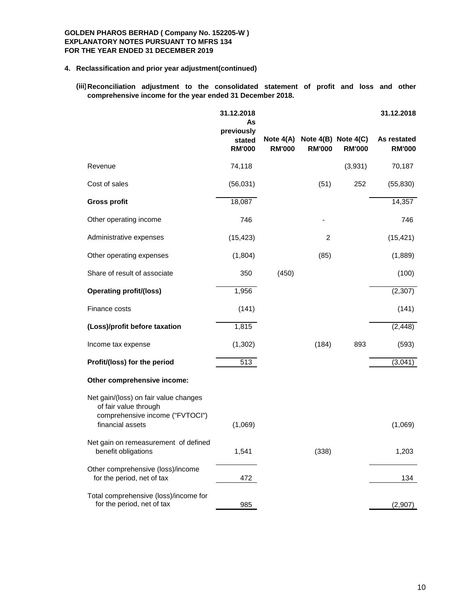# **4. Reclassification and prior year adjustment(continued)**

**(iii) Reconciliation adjustment to the consolidated statement of profit and loss and other comprehensive income for the year ended 31 December 2018.**

|                                                                                                   | 31.12.2018<br>As<br>previously |               |                                                |               | 31.12.2018                   |
|---------------------------------------------------------------------------------------------------|--------------------------------|---------------|------------------------------------------------|---------------|------------------------------|
|                                                                                                   | stated<br><b>RM'000</b>        | <b>RM'000</b> | Note 4(A) Note 4(B) Note 4(C)<br><b>RM'000</b> | <b>RM'000</b> | As restated<br><b>RM'000</b> |
| Revenue                                                                                           | 74,118                         |               |                                                | (3,931)       | 70,187                       |
| Cost of sales                                                                                     | (56,031)                       |               | (51)                                           | 252           | (55, 830)                    |
| <b>Gross profit</b>                                                                               | 18,087                         |               |                                                |               | 14,357                       |
| Other operating income                                                                            | 746                            |               |                                                |               | 746                          |
| Administrative expenses                                                                           | (15, 423)                      |               | $\overline{2}$                                 |               | (15, 421)                    |
| Other operating expenses                                                                          | (1,804)                        |               | (85)                                           |               | (1,889)                      |
| Share of result of associate                                                                      | 350                            | (450)         |                                                |               | (100)                        |
| <b>Operating profit/(loss)</b>                                                                    | 1,956                          |               |                                                |               | (2,307)                      |
| Finance costs                                                                                     | (141)                          |               |                                                |               | (141)                        |
| (Loss)/profit before taxation                                                                     | 1,815                          |               |                                                |               | (2, 448)                     |
| Income tax expense                                                                                | (1, 302)                       |               | (184)                                          | 893           | (593)                        |
| Profit/(loss) for the period                                                                      | 513                            |               |                                                |               | (3,041)                      |
| Other comprehensive income:                                                                       |                                |               |                                                |               |                              |
| Net gain/(loss) on fair value changes<br>of fair value through<br>comprehensive income ("FVTOCI") |                                |               |                                                |               |                              |
| financial assets                                                                                  | (1,069)                        |               |                                                |               | (1,069)                      |
| Net gain on remeasurement of defined<br>benefit obligations                                       | 1,541                          |               | (338)                                          |               | 1,203                        |
| Other comprehensive (loss)/income<br>for the period, net of tax                                   | 472                            |               |                                                |               | 134                          |
| Total comprehensive (loss)/income for<br>for the period, net of tax                               | 985                            |               |                                                |               | (2,907)                      |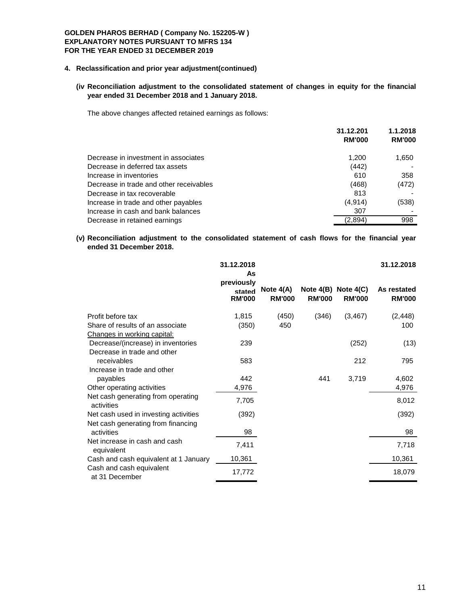# **4. Reclassification and prior year adjustment(continued)**

# **(iv Reconciliation adjustment to the consolidated statement of changes in equity for the financial year ended 31 December 2018 and 1 January 2018.**

The above changes affected retained earnings as follows:

|                                         | 31.12.201<br><b>RM'000</b> | 1.1.2018<br><b>RM'000</b> |
|-----------------------------------------|----------------------------|---------------------------|
| Decrease in investment in associates    | 1,200                      | 1,650                     |
| Decrease in deferred tax assets         | (442)                      |                           |
| Increase in inventories                 | 610                        | 358                       |
| Decrease in trade and other receivables | (468)                      | (472)                     |
| Decrease in tax recoverable             | 813                        |                           |
| Increase in trade and other payables    | (4,914)                    | (538)                     |
| Increase in cash and bank balances      | 307                        |                           |
| Decrease in retained earnings           | (2,894)                    | 998                       |

# **(v) Reconciliation adjustment to the consolidated statement of cash flows for the financial year ended 31 December 2018.**

|                                                                                             | 31.12.2018<br>As                      |                              |               |                                          | 31.12.2018                   |
|---------------------------------------------------------------------------------------------|---------------------------------------|------------------------------|---------------|------------------------------------------|------------------------------|
|                                                                                             | previously<br>stated<br><b>RM'000</b> | Note $4(A)$<br><b>RM'000</b> | <b>RM'000</b> | Note $4(B)$ Note $4(C)$<br><b>RM'000</b> | As restated<br><b>RM'000</b> |
| Profit before tax<br>Share of results of an associate<br><u>Changes in working capital:</u> | 1,815<br>(350)                        | (450)<br>450                 | (346)         | (3, 467)                                 | (2, 448)<br>100              |
| Decrease/(increase) in inventories<br>Decrease in trade and other                           | 239                                   |                              |               | (252)                                    | (13)                         |
| receivables<br>Increase in trade and other                                                  | 583                                   |                              |               | 212                                      | 795                          |
| payables<br>Other operating activities                                                      | 442<br>4,976                          |                              | 441           | 3,719                                    | 4,602<br>4,976               |
| Net cash generating from operating<br>activities                                            | 7,705                                 |                              |               |                                          | 8,012                        |
| Net cash used in investing activities<br>Net cash generating from financing                 | (392)                                 |                              |               |                                          | (392)                        |
| activities<br>Net increase in cash and cash                                                 | 98<br>7,411                           |                              |               |                                          | 98<br>7,718                  |
| equivalent<br>Cash and cash equivalent at 1 January                                         | 10,361                                |                              |               |                                          | 10,361                       |
| Cash and cash equivalent<br>at 31 December                                                  | 17,772                                |                              |               |                                          | 18,079                       |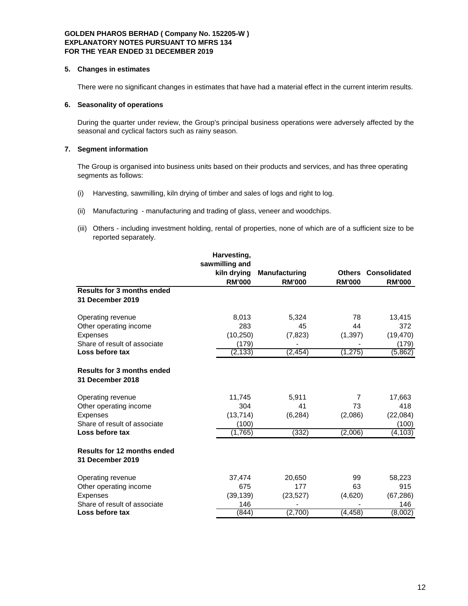#### **5. Changes in estimates**

There were no significant changes in estimates that have had a material effect in the current interim results.

## **6. Seasonality of operations**

During the quarter under review, the Group's principal business operations were adversely affected by the seasonal and cyclical factors such as rainy season.

# **7. Segment information**

The Group is organised into business units based on their products and services, and has three operating segments as follows:

- (i) Harvesting, sawmilling, kiln drying of timber and sales of logs and right to log.
- (ii) Manufacturing manufacturing and trading of glass, veneer and woodchips.
- (iii) Others including investment holding, rental of properties, none of which are of a sufficient size to be reported separately.

| Harvesting,    |                      |               |                            |
|----------------|----------------------|---------------|----------------------------|
| sawmilling and |                      |               |                            |
| kiln drying    | <b>Manufacturing</b> |               | <b>Others Consolidated</b> |
| <b>RM'000</b>  | <b>RM'000</b>        | <b>RM'000</b> | <b>RM'000</b>              |
|                |                      |               |                            |
|                |                      |               |                            |
| 8,013          | 5,324                | 78            | 13,415                     |
| 283            | 45                   | 44            | 372                        |
| (10, 250)      | (7, 823)             | (1, 397)      | (19, 470)                  |
| (179)          |                      |               | (179)                      |
| (2, 133)       | (2, 454)             | (1, 275)      | (5,862)                    |
|                |                      |               |                            |
| 11,745         | 5,911                | 7             | 17,663                     |
| 304            | 41                   | 73            | 418                        |
| (13, 714)      | (6, 284)             | (2,086)       | (22,084)                   |
| (100)          |                      |               | (100)                      |
| (1,765)        | (332)                | (2,006)       | (4,103)                    |
|                |                      |               |                            |
| 37,474         | 20,650               | 99            | 58,223                     |
| 675            | 177                  | 63            | 915                        |
| (39, 139)      | (23, 527)            | (4,620)       | (67, 286)                  |
| 146            |                      |               | 146                        |
| (844)          | (2,700)              | (4, 458)      | (8,002)                    |
|                |                      |               |                            |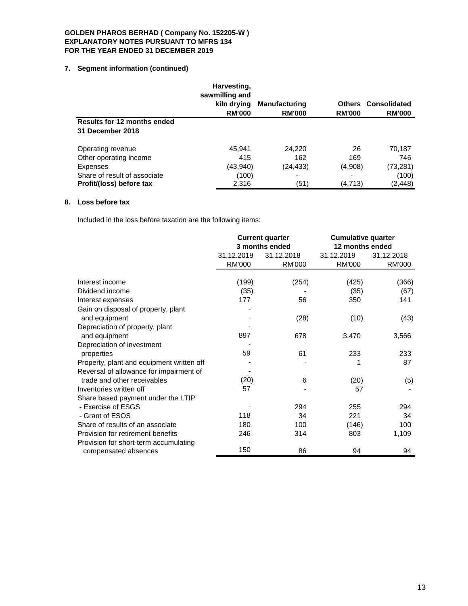# **7. Segment information (continued)**

|                                                        | Harvesting,<br>sawmilling and<br>kiln drying<br><b>RM'000</b> | <b>Manufacturing</b><br><b>RM'000</b> | <b>RM'000</b> | <b>Others Consolidated</b><br><b>RM'000</b> |
|--------------------------------------------------------|---------------------------------------------------------------|---------------------------------------|---------------|---------------------------------------------|
| <b>Results for 12 months ended</b><br>31 December 2018 |                                                               |                                       |               |                                             |
| Operating revenue                                      | 45,941                                                        | 24,220                                | 26            | 70,187                                      |
| Other operating income                                 | 415                                                           | 162                                   | 169           | 746                                         |
| <b>Expenses</b>                                        | (43, 940)                                                     | (24,433)                              | (4,908)       | (73, 281)                                   |
| Share of result of associate                           | (100)                                                         |                                       | -             | (100)                                       |
| Profit/(loss) before tax                               | 2,316                                                         | (51)                                  | (4,713)       | (2, 448)                                    |

# **8. Loss before tax**

Included in the loss before taxation are the following items:

|                                                      | <b>Current quarter</b>   |                | <b>Cumulative quarter</b> |            |  |
|------------------------------------------------------|--------------------------|----------------|---------------------------|------------|--|
|                                                      |                          | 3 months ended | 12 months ended           |            |  |
|                                                      | 31.12.2019<br>31.12.2018 |                | 31.12.2019                | 31.12.2018 |  |
|                                                      | <b>RM'000</b>            | <b>RM'000</b>  | RM'000                    | RM'000     |  |
| Interest income                                      | (199)                    | (254)          | (425)                     | (366)      |  |
| Dividend income                                      | (35)                     |                | (35)                      | (67)       |  |
| Interest expenses                                    | 177                      | 56             | 350                       | 141        |  |
|                                                      |                          |                |                           |            |  |
| Gain on disposal of property, plant<br>and equipment |                          | (28)           | (10)                      | (43)       |  |
| Depreciation of property, plant                      |                          |                |                           |            |  |
| and equipment                                        | 897                      | 678            | 3,470                     | 3,566      |  |
| Depreciation of investment                           |                          |                |                           |            |  |
|                                                      | 59                       | 61             | 233                       | 233        |  |
| properties                                           |                          |                |                           |            |  |
| Property, plant and equipment written off            |                          |                | 1                         | 87         |  |
| Reversal of allowance for impairment of              |                          |                |                           |            |  |
| trade and other receivables                          | (20)                     | 6              | (20)                      | (5)        |  |
| Inventories written off                              | 57                       |                | 57                        |            |  |
| Share based payment under the LTIP                   |                          |                |                           |            |  |
| - Exercise of ESGS                                   |                          | 294            | 255                       | 294        |  |
| - Grant of ESOS                                      | 118                      | 34             | 221                       | 34         |  |
| Share of results of an associate                     | 180                      | 100            | (146)                     | 100        |  |
| Provision for retirement benefits                    | 246                      | 314            | 803                       | 1,109      |  |
| Provision for short-term accumulating                |                          |                |                           |            |  |
| compensated absences                                 | 150                      | 86             | 94                        | 94         |  |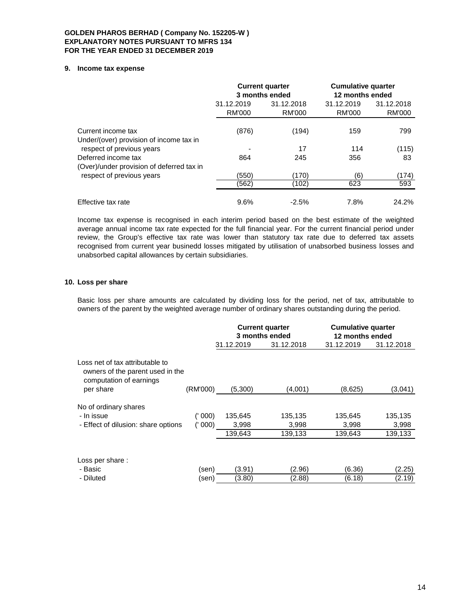#### **9. Income tax expense**

|                                                                  | <b>Current quarter</b><br>3 months ended |                      | <b>Cumulative quarter</b><br>12 months ended |                      |
|------------------------------------------------------------------|------------------------------------------|----------------------|----------------------------------------------|----------------------|
|                                                                  | 31.12.2019<br>RM'000                     | 31.12.2018<br>RM'000 | 31.12.2019<br>RM'000                         | 31.12.2018<br>RM'000 |
| Current income tax<br>Under/(over) provision of income tax in    | (876)                                    | (194)                | 159                                          | 799                  |
| respect of previous years                                        |                                          | 17                   | 114                                          | (115)                |
| Deferred income tax<br>(Over)/under provision of deferred tax in | 864                                      | 245                  | 356                                          | 83                   |
| respect of previous years                                        | (550)                                    | (170                 | (6)                                          | (174)                |
|                                                                  | (562)                                    | (102)                | 623                                          | 593                  |
| Effective tax rate                                               | 9.6%                                     | $-2.5%$              | 7.8%                                         | 24.2%                |

Income tax expense is recognised in each interim period based on the best estimate of the weighted average annual income tax rate expected for the full financial year. For the current financial period under review, the Group's effective tax rate was lower than statutory tax rate due to deferred tax assets recognised from current year businedd losses mitigated by utilisation of unabsorbed business losses and unabsorbed capital allowances by certain subsidiaries.

# **10. Loss per share**

Basic loss per share amounts are calculated by dividing loss for the period, net of tax, attributable to owners of the parent by the weighted average number of ordinary shares outstanding during the period.

|                                                                                                |          | <b>Current quarter</b><br>3 months ended |            | <b>Cumulative quarter</b><br>12 months ended |            |
|------------------------------------------------------------------------------------------------|----------|------------------------------------------|------------|----------------------------------------------|------------|
|                                                                                                |          | 31.12.2019                               | 31.12.2018 | 31.12.2019                                   | 31.12.2018 |
| Loss net of tax attributable to<br>owners of the parent used in the<br>computation of earnings |          |                                          |            |                                              |            |
| per share                                                                                      | (RM'000) | (5,300)                                  | (4,001)    | (8,625)                                      | (3,041)    |
| No of ordinary shares<br>- In issue                                                            | (' 000)  | 135,645                                  | 135,135    | 135,645                                      | 135,135    |
| - Effect of dilusion: share options                                                            | (1000)   | 3,998                                    | 3,998      | 3,998                                        | 3,998      |
|                                                                                                |          | 139,643                                  | 139,133    | 139,643                                      | 139,133    |
| Loss per share:<br>- Basic                                                                     | (sen)    | (3.91)                                   | (2.96)     | (6.36)                                       | (2.25)     |
| - Diluted                                                                                      | (sen)    | (3.80)                                   | (2.88)     | (6.18)                                       | (2.19)     |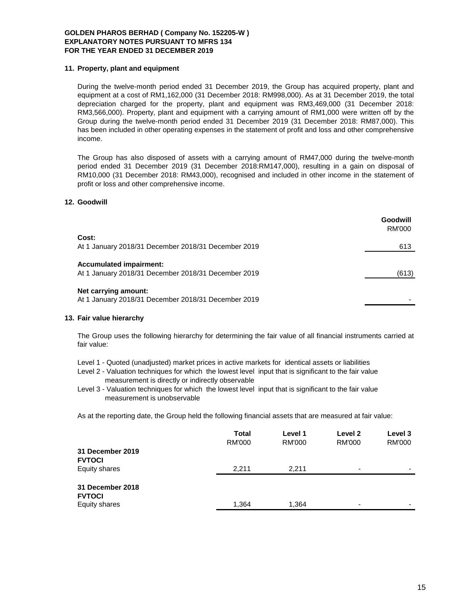### **11. Property, plant and equipment**

During the twelve-month period ended 31 December 2019, the Group has acquired property, plant and equipment at a cost of RM1,162,000 (31 December 2018: RM998,000). As at 31 December 2019, the total depreciation charged for the property, plant and equipment was RM3,469,000 (31 December 2018: RM3,566,000). Property, plant and equipment with a carrying amount of RM1,000 were written off by the Group during the twelve-month period ended 31 December 2019 (31 December 2018: RM87,000). This has been included in other operating expenses in the statement of profit and loss and other comprehensive income.

The Group has also disposed of assets with a carrying amount of RM47,000 during the twelve-month period ended 31 December 2019 (31 December 2018:RM147,000), resulting in a gain on disposal of RM10,000 (31 December 2018: RM43,000), recognised and included in other income in the statement of profit or loss and other comprehensive income.

### **12. Goodwill**

|                                                                                       | Goodwill<br><b>RM'000</b> |
|---------------------------------------------------------------------------------------|---------------------------|
| Cost:                                                                                 |                           |
| At 1 January 2018/31 December 2018/31 December 2019                                   | 613                       |
| <b>Accumulated impairment:</b><br>At 1 January 2018/31 December 2018/31 December 2019 | (613)                     |
| Net carrying amount:<br>At 1 January 2018/31 December 2018/31 December 2019           |                           |

#### **13. Fair value hierarchy**

The Group uses the following hierarchy for determining the fair value of all financial instruments carried at fair value:

- Level 1 Quoted (unadjusted) market prices in active markets for identical assets or liabilities
- Level 2 Valuation techniques for which the lowest level input that is significant to the fair value measurement is directly or indirectly observable
- Level 3 Valuation techniques for which the lowest level input that is significant to the fair value measurement is unobservable

As at the reporting date, the Group held the following financial assets that are measured at fair value:

|                                   | <b>Total</b><br><b>RM'000</b> | Level 1<br><b>RM'000</b> | Level 2<br><b>RM'000</b> | Level 3<br><b>RM'000</b> |
|-----------------------------------|-------------------------------|--------------------------|--------------------------|--------------------------|
| 31 December 2019<br><b>FVTOCI</b> |                               |                          |                          |                          |
| Equity shares                     | 2.211                         | 2.211                    | $\overline{\phantom{0}}$ |                          |
| 31 December 2018<br><b>FVTOCI</b> |                               |                          |                          |                          |
| Equity shares                     | 1,364                         | 1,364                    | -                        |                          |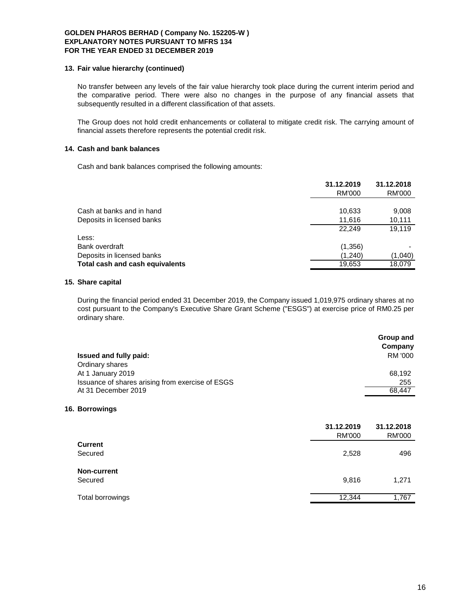#### **13. Fair value hierarchy (continued)**

No transfer between any levels of the fair value hierarchy took place during the current interim period and the comparative period. There were also no changes in the purpose of any financial assets that subsequently resulted in a different classification of that assets.

The Group does not hold credit enhancements or collateral to mitigate credit risk. The carrying amount of financial assets therefore represents the potential credit risk.

# **14. Cash and bank balances**

Cash and bank balances comprised the following amounts:

|                                 | 31.12.2019<br>RM'000 | 31.12.2018<br>RM'000 |
|---------------------------------|----------------------|----------------------|
| Cash at banks and in hand       | 10,633               | 9,008                |
| Deposits in licensed banks      | 11,616               | 10,111               |
|                                 | 22.249               | 19.119               |
| Less:                           |                      |                      |
| Bank overdraft                  | (1,356)              |                      |
| Deposits in licensed banks      | (1,240)              | (1,040)              |
| Total cash and cash equivalents | 19,653               | 18.079               |

#### **15. Share capital**

During the financial period ended 31 December 2019, the Company issued 1,019,975 ordinary shares at no cost pursuant to the Company's Executive Share Grant Scheme ("ESGS") at exercise price of RM0.25 per ordinary share.

|                                                  | Group and |
|--------------------------------------------------|-----------|
|                                                  | Company   |
| <b>Issued and fully paid:</b>                    | RM '000   |
| Ordinary shares                                  |           |
| At 1 January 2019                                | 68.192    |
| Issuance of shares arising from exercise of ESGS | 255       |
| At 31 December 2019                              | 68.447    |

#### **16. Borrowings**

|                    | 31.12.2019<br><b>RM'000</b> | 31.12.2018<br><b>RM'000</b> |
|--------------------|-----------------------------|-----------------------------|
| <b>Current</b>     |                             |                             |
| Secured            | 2,528                       | 496                         |
| <b>Non-current</b> |                             |                             |
| Secured            | 9,816                       | 1,271                       |
| Total borrowings   | 12,344                      | 1,767                       |
|                    |                             |                             |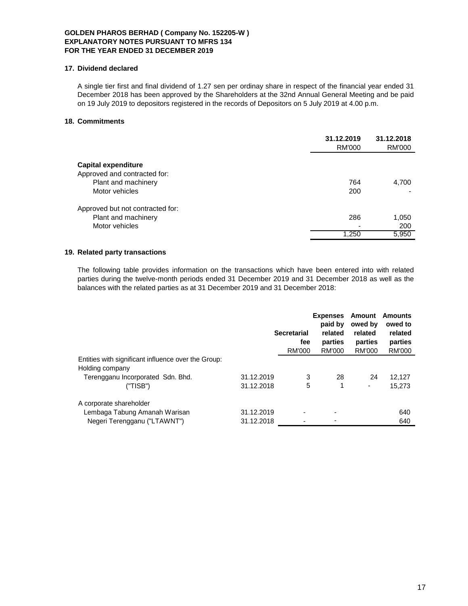# **17. Dividend declared**

A single tier first and final dividend of 1.27 sen per ordinay share in respect of the financial year ended 31 December 2018 has been approved by the Shareholders at the 32nd Annual General Meeting and be paid on 19 July 2019 to depositors registered in the records of Depositors on 5 July 2019 at 4.00 p.m.

# **18. Commitments**

|                                                                                              | 31.12.2019<br><b>RM'000</b>              | 31.12.2018<br>RM'000  |
|----------------------------------------------------------------------------------------------|------------------------------------------|-----------------------|
| Capital expenditure<br>Approved and contracted for:<br>Plant and machinery<br>Motor vehicles | 764<br>200                               | 4,700                 |
| Approved but not contracted for:<br>Plant and machinery<br>Motor vehicles                    | 286<br>$\overline{\phantom{0}}$<br>1,250 | 1,050<br>200<br>5,950 |

# **19. Related party transactions**

The following table provides information on the transactions which have been entered into with related parties during the twelve-month periods ended 31 December 2019 and 31 December 2018 as well as the balances with the related parties as at 31 December 2019 and 31 December 2018:

|                                                     |            | <b>Secretarial</b><br>fee<br><b>RM'000</b> | <b>Expenses</b><br>paid by<br>related<br>parties<br>RM'000 | Amount<br>owed by<br>related<br>parties<br>RM'000 | Amounts<br>owed to<br>related<br>parties<br><b>RM'000</b> |
|-----------------------------------------------------|------------|--------------------------------------------|------------------------------------------------------------|---------------------------------------------------|-----------------------------------------------------------|
| Entities with significant influence over the Group: |            |                                            |                                                            |                                                   |                                                           |
| Holding company                                     |            |                                            |                                                            |                                                   |                                                           |
| Terengganu Incorporated Sdn. Bhd.                   | 31.12.2019 | 3                                          | 28                                                         | 24                                                | 12.127                                                    |
| ("TISB")                                            | 31.12.2018 | 5                                          | 1                                                          | ٠                                                 | 15.273                                                    |
| A corporate shareholder                             |            |                                            |                                                            |                                                   |                                                           |
| Lembaga Tabung Amanah Warisan                       | 31.12.2019 | $\overline{\phantom{0}}$                   |                                                            |                                                   | 640                                                       |
| Negeri Terengganu ("LTAWNT")                        | 31.12.2018 |                                            |                                                            |                                                   | 640                                                       |
|                                                     |            |                                            |                                                            |                                                   |                                                           |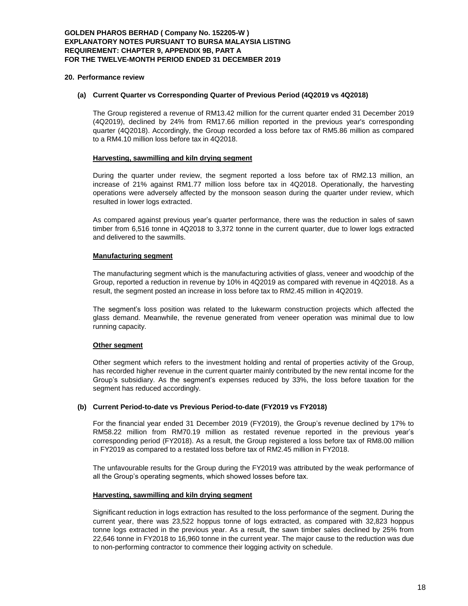#### **20. Performance review**

#### **(a) Current Quarter vs Corresponding Quarter of Previous Period (4Q2019 vs 4Q2018)**

The Group registered a revenue of RM13.42 million for the current quarter ended 31 December 2019 (4Q2019), declined by 24% from RM17.66 million reported in the previous year's corresponding quarter (4Q2018). Accordingly, the Group recorded a loss before tax of RM5.86 million as compared to a RM4.10 million loss before tax in 4Q2018.

### **Harvesting, sawmilling and kiln drying segment**

During the quarter under review, the segment reported a loss before tax of RM2.13 million, an increase of 21% against RM1.77 million loss before tax in 4Q2018. Operationally, the harvesting operations were adversely affected by the monsoon season during the quarter under review, which resulted in lower logs extracted.

As compared against previous year's quarter performance, there was the reduction in sales of sawn timber from 6,516 tonne in 4Q2018 to 3,372 tonne in the current quarter, due to lower logs extracted and delivered to the sawmills.

### **Manufacturing segment**

The manufacturing segment which is the manufacturing activities of glass, veneer and woodchip of the Group, reported a reduction in revenue by 10% in 4Q2019 as compared with revenue in 4Q2018. As a result, the segment posted an increase in loss before tax to RM2.45 million in 4Q2019.

The segment's loss position was related to the lukewarm construction projects which affected the glass demand. Meanwhile, the revenue generated from veneer operation was minimal due to low running capacity.

# **Other segment**

Other segment which refers to the investment holding and rental of properties activity of the Group, has recorded higher revenue in the current quarter mainly contributed by the new rental income for the Group's subsidiary. As the segment's expenses reduced by 33%, the loss before taxation for the segment has reduced accordingly.

#### **(b) Current Period-to-date vs Previous Period-to-date (FY2019 vs FY2018)**

For the financial year ended 31 December 2019 (FY2019), the Group's revenue declined by 17% to RM58.22 million from RM70.19 million as restated revenue reported in the previous year's corresponding period (FY2018). As a result, the Group registered a loss before tax of RM8.00 million in FY2019 as compared to a restated loss before tax of RM2.45 million in FY2018.

The unfavourable results for the Group during the FY2019 was attributed by the weak performance of all the Group's operating segments, which showed losses before tax.

#### **Harvesting, sawmilling and kiln drying segment**

Significant reduction in logs extraction has resulted to the loss performance of the segment. During the current year, there was 23,522 hoppus tonne of logs extracted, as compared with 32,823 hoppus tonne logs extracted in the previous year. As a result, the sawn timber sales declined by 25% from 22,646 tonne in FY2018 to 16,960 tonne in the current year. The major cause to the reduction was due to non-performing contractor to commence their logging activity on schedule.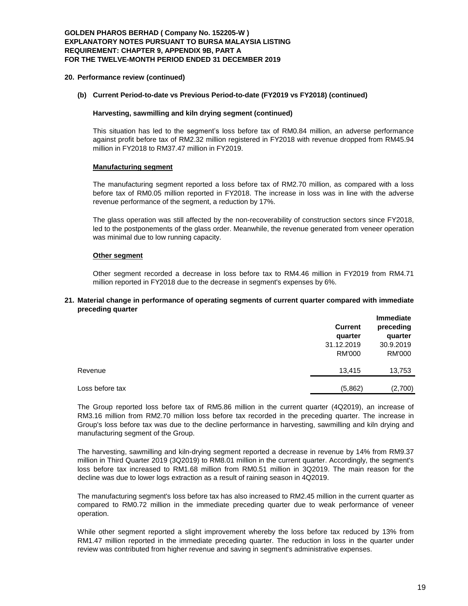# **GOLDEN PHAROS BERHAD ( Company No. 152205-W ) EXPLANATORY NOTES PURSUANT TO BURSA MALAYSIA LISTING REQUIREMENT: CHAPTER 9, APPENDIX 9B, PART A FOR THE TWELVE-MONTH PERIOD ENDED 31 DECEMBER 2019**

#### **20. Performance review (continued)**

#### **(b) Current Period-to-date vs Previous Period-to-date (FY2019 vs FY2018) (continued)**

### **Harvesting, sawmilling and kiln drying segment (continued)**

This situation has led to the segment's loss before tax of RM0.84 million, an adverse performance against profit before tax of RM2.32 million registered in FY2018 with revenue dropped from RM45.94 million in FY2018 to RM37.47 million in FY2019.

### **Manufacturing segment**

The manufacturing segment reported a loss before tax of RM2.70 million, as compared with a loss before tax of RM0.05 million reported in FY2018. The increase in loss was in line with the adverse revenue performance of the segment, a reduction by 17%.

The glass operation was still affected by the non-recoverability of construction sectors since FY2018, led to the postponements of the glass order. Meanwhile, the revenue generated from veneer operation was minimal due to low running capacity.

### **Other segment**

Other segment recorded a decrease in loss before tax to RM4.46 million in FY2019 from RM4.71 million reported in FY2018 due to the decrease in segment's expenses by 6%.

#### **21. Material change in performance of operating segments of current quarter compared with immediate preceding quarter**

|                 | <b>Current</b><br>quarter | <b>Immediate</b><br>preceding<br>quarter |
|-----------------|---------------------------|------------------------------------------|
|                 | 31.12.2019                | 30.9.2019                                |
|                 | <b>RM'000</b>             | RM'000                                   |
| Revenue         | 13,415                    | 13,753                                   |
| Loss before tax | (5,862)                   | (2,700)                                  |
|                 |                           |                                          |

The Group reported loss before tax of RM5.86 million in the current quarter (4Q2019), an increase of RM3.16 million from RM2.70 million loss before tax recorded in the preceding quarter. The increase in Group's loss before tax was due to the decline performance in harvesting, sawmilling and kiln drying and manufacturing segment of the Group.

The harvesting, sawmilling and kiln-drying segment reported a decrease in revenue by 14% from RM9.37 million in Third Quarter 2019 (3Q2019) to RM8.01 million in the current quarter. Accordingly, the segment's loss before tax increased to RM1.68 million from RM0.51 million in 3Q2019. The main reason for the decline was due to lower logs extraction as a result of raining season in 4Q2019.

The manufacturing segment's loss before tax has also increased to RM2.45 million in the current quarter as compared to RM0.72 million in the immediate preceding quarter due to weak performance of veneer operation.

While other segment reported a slight improvement whereby the loss before tax reduced by 13% from RM1.47 million reported in the immediate preceding quarter. The reduction in loss in the quarter under review was contributed from higher revenue and saving in segment's administrative expenses.